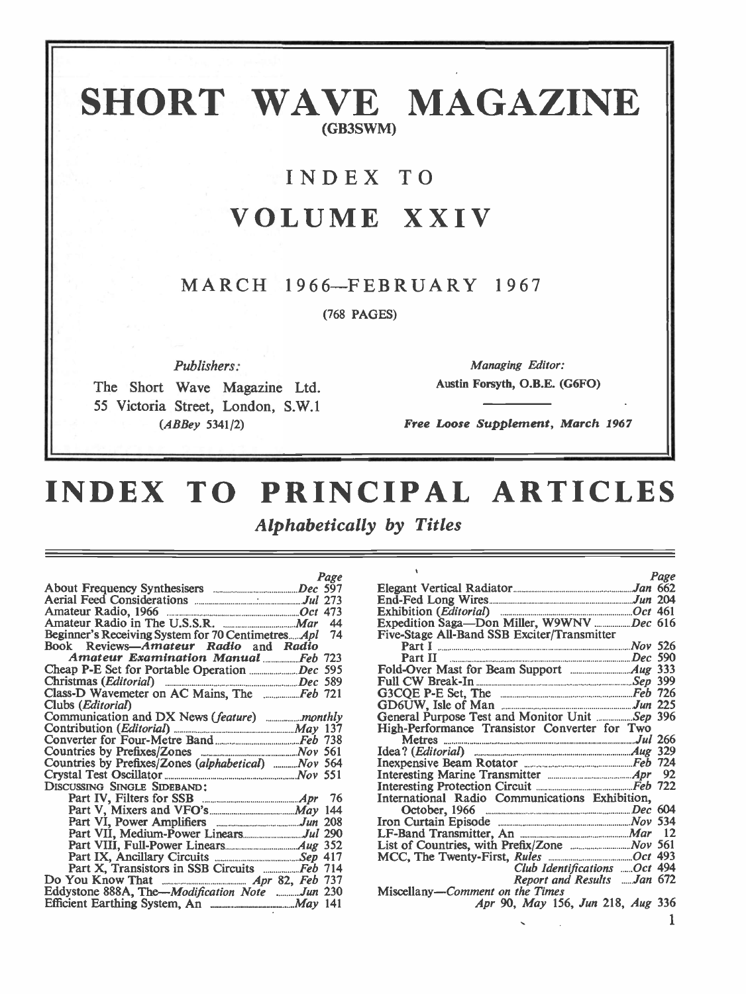# SHORT WAVE MAGAZINE (GB3SWM)

# INDEX TO

# VOLUME XXIV

# MARCH 1966-FEBRUARY 1967

(768 PAGES)

Publishers:

The Short Wave Magazine Ltd. 55 Victoria Street, London, S.W.1 (ABBey 5341/2)

Managing Editor: Austin Forsyth, O.B.E. (G6FO)

Free Loose Supplement, March 1967

# INDEX TO PRINCIPAL ARTICLES

Alphabetically by Titles

| Page                                                 |                |
|------------------------------------------------------|----------------|
|                                                      | Elegan         |
|                                                      | End-F          |
|                                                      | Exhibi         |
|                                                      | Expedi         |
| Beginner's Receiving System for 70 CentimetresApl 74 | Five-St        |
| Book Reviews-Amateur Radio and Radio                 | P <sub>2</sub> |
| Amateur Examination Manual  Feb 723                  | Pa             |
|                                                      | <b>Fold-C</b>  |
|                                                      | Full C         |
| Class-D Wavemeter on AC Mains, The  Feb 721          | G3CQ           |
| Clubs ( <i>Editorial</i> )                           | GD6U           |
|                                                      | Genera         |
|                                                      | High-F         |
|                                                      | М              |
|                                                      | Idea?          |
| Countries by Prefixes/Zones (alphabetical)  Nov 564  | Inexpe         |
|                                                      | Interes        |
| DISCUSSING SINGLE SIDEBAND:                          | Interes        |
|                                                      | Interna        |
|                                                      | $\alpha$       |
|                                                      | Iron C         |
|                                                      | $LF-Ba$        |
|                                                      | List of        |
|                                                      | MCC,           |
|                                                      |                |
|                                                      |                |
| Eddystone 888A, The-Modification Note Jun 230        | Miscel         |
|                                                      |                |
|                                                      |                |

|                                                          | Page |
|----------------------------------------------------------|------|
|                                                          |      |
|                                                          |      |
|                                                          |      |
|                                                          |      |
| Five-Stage All-Band SSB Exciter/Transmitter              |      |
|                                                          |      |
| Part I<br>Part II <u>Alexander School (2000)</u> Dec 590 |      |
|                                                          |      |
|                                                          |      |
|                                                          |      |
|                                                          |      |
| General Purpose Test and Monitor Unit Sep 396            |      |
| High-Performance Transistor Converter for Two            |      |
| Metres 266                                               |      |
|                                                          |      |
|                                                          |      |
|                                                          |      |
|                                                          |      |
| International Radio Communications Exhibition,           |      |
|                                                          |      |
|                                                          |      |
|                                                          |      |
|                                                          |      |
|                                                          |      |
| Club Identifications Oct 494                             |      |
| Report and Results Jan 672                               |      |
| Miscellany-Comment on the Times                          |      |
| Apr 90, May 156, Jun 218, Aug 336                        |      |
|                                                          |      |

1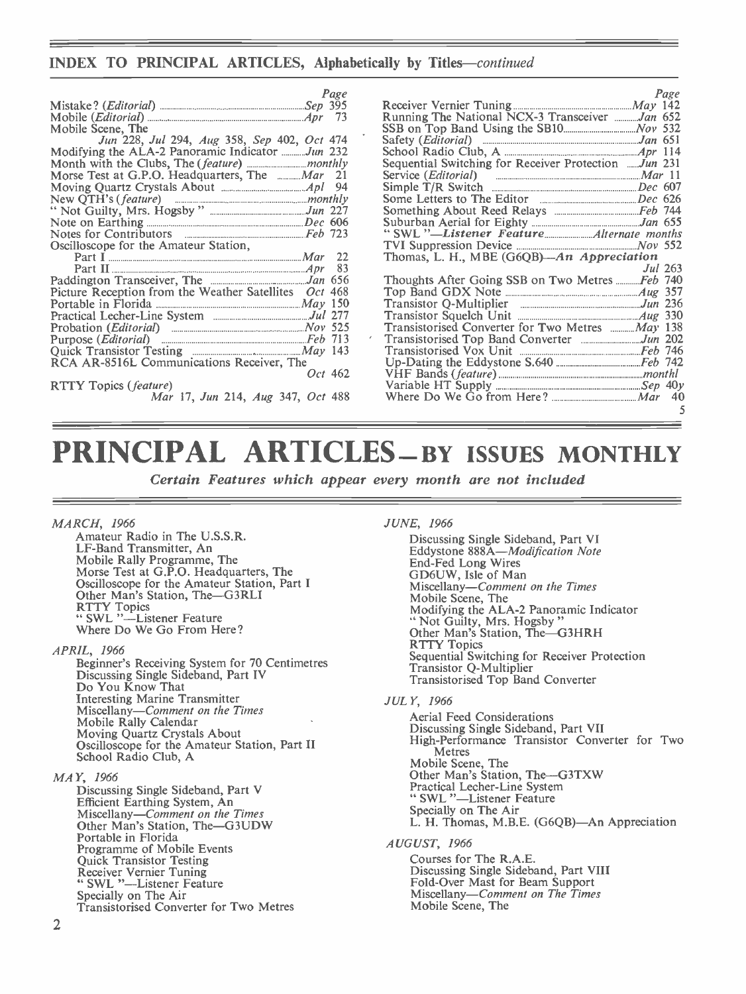## INDEX TO PRINCIPAL ARTICLES, Alphabetically by Titles-continued

| Page                                                  |                              |
|-------------------------------------------------------|------------------------------|
|                                                       | Receive                      |
|                                                       | Runnin                       |
| Mobile Scene, The                                     | SSB on                       |
| Jun 228, Jul 294, Aug 358, Sep 402, Oct 474           | Safety                       |
| Modifying the ALA-2 Panoramic Indicator Jun 232       | School                       |
|                                                       | Sequen                       |
| Morse Test at G.P.O. Headquarters, The  Mar 21        | Service                      |
|                                                       | Simple                       |
|                                                       | Some I                       |
|                                                       | Someth                       |
|                                                       | Suburb                       |
|                                                       | "SWL                         |
| Oscilloscope for the Amateur Station,                 | <b>TVI St</b>                |
| 22                                                    | Thoma                        |
| 83                                                    |                              |
|                                                       | <b>Though</b>                |
| Picture Reception from the Weather Satellites Oct 468 | Top Ba                       |
|                                                       | <b>Transis</b>               |
|                                                       | <b>Transis</b>               |
|                                                       | <b>Transis</b>               |
|                                                       | $\epsilon$<br><b>Transis</b> |
|                                                       | <b>Transi:</b>               |
| RCA AR-8516L Communications Receiver, The             | $Up$ -Da                     |
| Oct 462                                               | VHF I                        |
| <b>RTTY Topics (feature)</b>                          | Variab                       |
| Mar 17, Jun 214, Aug 347, Oct 488                     | Where                        |
|                                                       |                              |

|                                                                                                                                                | Page    |
|------------------------------------------------------------------------------------------------------------------------------------------------|---------|
|                                                                                                                                                |         |
| Running The National NCX-3 Transceiver Jan 652                                                                                                 |         |
|                                                                                                                                                |         |
| Safety ( <i>Editorial</i> ) <b><i>manufacture and the Safety (Editorial</i></b> ) <b><i>manufacture and the Safety Contains and Safety</i></b> |         |
|                                                                                                                                                |         |
| Sequential Switching for Receiver Protection  Jun 231                                                                                          |         |
|                                                                                                                                                |         |
|                                                                                                                                                |         |
|                                                                                                                                                |         |
|                                                                                                                                                |         |
|                                                                                                                                                |         |
|                                                                                                                                                |         |
|                                                                                                                                                |         |
| Thomas, L. H., MBE (G6QB)-An Appreciation                                                                                                      |         |
|                                                                                                                                                | Jul 263 |
| Thoughts After Going SSB on Two Metres <i>Feb</i> 740                                                                                          |         |
|                                                                                                                                                |         |
|                                                                                                                                                |         |
|                                                                                                                                                |         |
| Transistorised Converter for Two Metres  May 138                                                                                               |         |
|                                                                                                                                                |         |
|                                                                                                                                                |         |
|                                                                                                                                                |         |
|                                                                                                                                                |         |
|                                                                                                                                                |         |
|                                                                                                                                                |         |
|                                                                                                                                                | 5       |
|                                                                                                                                                |         |

# PRINCIPAL ARTICLES – BY ISSUES MONTHLY

Certain Features which appear every month are not included

### MARCH, 1966

Amateur Radio in The U.S.S.R. LF-Band Transmitter, An<br>Mobile Rally Programme, The Morse Test at G.P.O. Headquarters, The Oscilloscope for the Amateur Station, Part I Other Man's Station, The-G3RLI RTTY Topics<br>" SWL "-Listener Feature Where Do We Go From Here?

APRIL, 1966

Beginner's Receiving System for 70 Centimetres Discussing Single Sideband, Part IV Do You Know That Interesting Marchine Miscellany-Comment on the Times<br>Mobile Rally Calendar<br>Moving Quartz Crystals About<br>Oscilloscope for the Amateur Station, Part II<br>School Radio Club, A

### MAY, 1966

Discussing Single Sideband, Part V Efficient Earthing System, An Indianapolis Station, The-G3UDW Other Man's Station, The-G3UDW Portable in Florida<br>Programme of Mobile Events Programme of Mobile Events<br>Quick Transistor Testing<br>Receiver Vernier Tuning " SWL "-Listener Feature Specially on The Air<br>Transistorised Converter for Two Metres

### JUNE, 1966

Discussing Single Sideband, Part VI<br>Eddystone 888A—*Modification Note* End -Fed Long Wires GD6UW, Isle of Man Miscellany-Comment on the Times<br>Mobile Scene, The<br>Modifying the ALA-2 Panoramic Indicator Modifying the ALA -2 Panoramic Indicator " Not Guilty, Mrs. Hogsby "<br>Other Man's Station, The-G3HRH<br>RTTY Topics Sequential Switching for Receiver Protection<br>Transistor Q-Multiplier Transistorised Top Band Converter

### JULY, 1966

Aerial Feed Considerations<br>Discussing Single Sideband, Part VII High-Performance Transistor Converter for Two Metres Mobile Scene, The Other Man's Station, The-G3TXW Practical Lecher -Line System " SWL "—Listener Feature<br>Specially on The Air L. H. Thomas, M.B.E. (G6QB)—An Appreciation AUGUST, 1966

Courses for The R.A.E. Discussing Single Sideband, Part VIII Miscellany-Comment on The Times Mobile Scene, The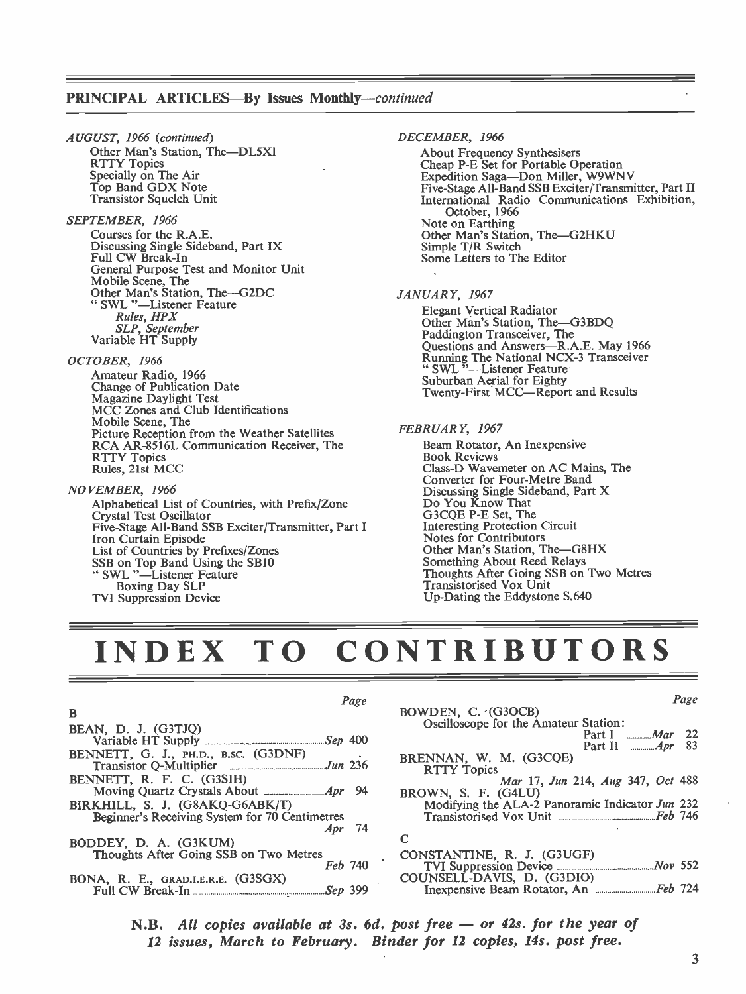## PRINCIPAL ARTICLES-By Issues Monthly-continued

AUGUST, 1966 (continued) Other Man's Station, The-DL5XI<br>RTTY Topics Specially on The Air<br>Top Band GDX Note<br>Transistor Squelch Unit

SEPTEMBER, 1966 Courses for the R.A.E. Discussing Single Sideband, Part IX Full CW Break-In General Purpose Test and Monitor Unit Mobile Scene, The Other Man's Station, The-G2DC " SWL "-Listener Feature Rules, HPX SLP, September Variable HT Supply

### OCTOBER, 1966

Amateur Radio, 1966 Change of Publication Date Magazine Daylight Test MCC Zones and Club Identifications Mobile Scene, The Picture Reception from the Weather Satellites RCA AR -8516L Communication Receiver, The RTTY Topics<br>Rules, 21st MCC

NOVEMBER, 1966<br>Alphabetical List of Countries, with Prefix/Zone Crystal Test Oscillator<br>Five-Stage All-Band SSB Exciter/Transmitter, Part I<br>Iron Curtain Episode Iron Curtain Episode<br>List of Countries by Prefixes/Zones SSB on Top Band Using the SB10 " SWL "-Listener Feature<br>Boxing Day SLP **TVI Suppression Device** 

### DECEMBER, 1966

About Frequency Synthesisers<br>Cheap P-E Set for Portable Operation<br>Expedition Saga—Don Miller, W9WNV<br>Five-Stage All-Band SSB Exciter/Transmitter, Part II International Radio Communications Exhibition, October, 1966<br>Note on Earthing Other Man's Station, The-G2HKU<br>Simple T/R Switch Some Letters to The Editor

### JANUARY, 1967

Elegant Vertical Radiator<br>Other Man's Station, The-G3BDQ<br>Paddington Transceiver, The Paddington Transceiver, The Questions and Answers-R.A.E. May 1966 Running The National NCX-3 Transceiver<br>" SWL "--Listener Feature Suburban Aerial for Eighty Twenty -First MCC-Report and Results

### FEBRUARY, 1967

Beam Rotator, An Inexpensive Book Reviews Class -D Wavemeter on AC Mains, The Converter for Four-Metre Band Discussing Single Sideband, Part X Do You Know That G3CQE P -E Set, The Interesting Protection Circuit Notes for Contributors Other Man's Station, The-G8HX<br>Something About Reed Relays Thoughts After Going SSB on Two Metres Transistorised Vox Unit Up -Dating the Eddystone S.640

# INDEX TO CONTRIBUTORS

### Page B<sub>a</sub> BEAN, D. J. (G3TJQ) Variable HT Supply Sep 400 BENNETT, G. J., PH.D., B.SC. (G3DNF)<br>Transistor O-Multiplier<br> $\frac{Ju}{dx}$  236 Transistor Q-Multiplier BENNETT, R. F. C. (G3SIH) Moving Quartz Crystals About Apr 94 BIRKHILL, S. J. (G8AKQ-G6ABK/T) Beginner's Receiving System for 70 Centimetres<br>Apr 74 Apr BODDEY, D. A. (G3KUM) Thoughts After Going SSB on Two Metres Feb 740 BONA, R. E., GRAD.I.E.R.E. (G3SGX) Full CW Break -In Sep

| age | Page                                            |  |
|-----|-------------------------------------------------|--|
|     | BOWDEN, C. (G3OCB)                              |  |
|     | Oscilloscope for the Amateur Station:           |  |
| 400 | Part I <i>Mar</i> 22                            |  |
|     | Part II <i>Apr</i> 83                           |  |
| 236 | BRENNAN, W. M. (G3CQE)                          |  |
|     | <b>RTTY Topics</b>                              |  |
| 94  | Mar 17, Jun 214, Aug 347, Oct 488               |  |
|     | BROWN, S. F. (G4LU)                             |  |
|     | Modifying the ALA-2 Panoramic Indicator Jun 232 |  |
|     |                                                 |  |
| 74  | C                                               |  |
|     |                                                 |  |
|     |                                                 |  |
| 740 |                                                 |  |
|     | COUNSELL-DAVIS, D. (G3DIO)                      |  |
| 399 |                                                 |  |
|     |                                                 |  |

N.B. All copies available at 3s. 6d. post free – or 42s. for the year of 12 issues, March to February. Binder for 12 copies, 14s. post free.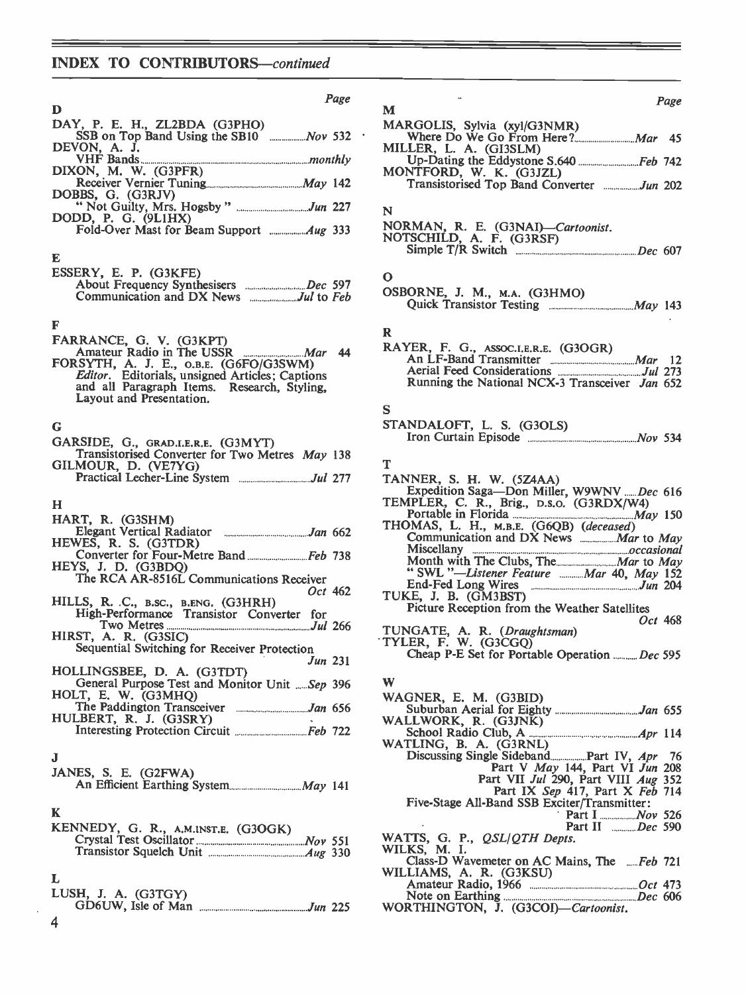# INDEX TO CONTRIBUTORS-continued

| Page                                                                                                                                                                                                       |                                  |
|------------------------------------------------------------------------------------------------------------------------------------------------------------------------------------------------------------|----------------------------------|
| D                                                                                                                                                                                                          | M                                |
| DAY, P. E. H., ZL2BDA (G3PHO)                                                                                                                                                                              | <b>MARC</b><br>W                 |
| DEVON, A. J.                                                                                                                                                                                               | MILLE<br>Uŗ                      |
| DIXON, M. W. (G3PFR)                                                                                                                                                                                       | <b>MONT</b><br>Tr                |
| DOBBS, G. (G3RJV)<br>"Not Guilty, Mrs. Hogsby" Jun 227                                                                                                                                                     |                                  |
| DODD, P. G. (9LIHX)                                                                                                                                                                                        | N<br><b>NORM</b><br><b>NOTS(</b> |
| E                                                                                                                                                                                                          | Sir                              |
| ESSERY, E. P. (G3KFE)                                                                                                                                                                                      | о<br>OSBOI<br>Qι                 |
| F                                                                                                                                                                                                          | R                                |
| FARRANCE, G. V. (G3KPT)<br>Amateur Radio in The USSR Mar<br>44<br>FORSYTH, A. J. E., O.B.E. (G6FO/G3SWM)<br>Editor. Editorials, unsigned Articles; Captions<br>and all Paragraph Items. Research, Styling, | <b>RAYE</b><br>Ar<br>Ae<br>Rι    |
| Layout and Presentation.                                                                                                                                                                                   | S                                |
| G                                                                                                                                                                                                          | <b>STANI</b>                     |
| GARSIDE, G., GRAD.I.E.R.E. (G3MYT)<br>Transistorised Converter for Two Metres May 138                                                                                                                      | Irc                              |
| GILMOUR, D. (VE7YG)                                                                                                                                                                                        | т<br><b>TANN</b>                 |
|                                                                                                                                                                                                            | Ex<br><b>TEMP</b>                |
| н<br>HART, R. (G3SHM)                                                                                                                                                                                      | Po                               |
| HEWES, R. S. (G3TDR)                                                                                                                                                                                       | <b>THOM</b><br>$_{\rm C}$        |
| HEYS, J. D. (G3BDQ)<br>The RCA AR-8516L Communications Receiver                                                                                                                                            | Mi<br>M<br>"                     |
| Oct 462<br>HILLS, R. C., B.SC., B.ENG. (G3HRH)<br>High-Performance Transistor Converter for                                                                                                                | En<br>TUKE.<br>Pio               |
|                                                                                                                                                                                                            | <b>TUNG</b>                      |
| HIRST, A. R. (G3SIC)<br>Sequential Switching for Receiver Protection                                                                                                                                       | <b>TYLEI</b><br>$\mathbf C$ h    |
| Jun 231<br>HOLLINGSBEE, D. A. (G3TDT)                                                                                                                                                                      |                                  |
| General Purpose Test and Monitor Unit Sep 396<br>HOLT, E. W. (G3MHQ)                                                                                                                                       | W<br>WAGN                        |
| HULBERT, R. J. (G3SRY)                                                                                                                                                                                     | $\mathbf{S}\mathbf{u}$<br>WALL   |
|                                                                                                                                                                                                            | Scl<br><b>WATL</b>               |
| J                                                                                                                                                                                                          | Di                               |
| JANES, S. E. (G2FWA)                                                                                                                                                                                       |                                  |
|                                                                                                                                                                                                            | Fi                               |
| K<br>KENNEDY, G. R., A.M.INST.E. (G3OGK)                                                                                                                                                                   |                                  |
|                                                                                                                                                                                                            | <b>WATT</b><br><b>WILKS</b>      |
|                                                                                                                                                                                                            | Ck                               |
| L                                                                                                                                                                                                          | WILLI<br>Ar                      |
| LUSH, J. A. (G3TGY)                                                                                                                                                                                        | No<br>WORT                       |
|                                                                                                                                                                                                            |                                  |

| Page              | Page<br>М                                                                                                                                                      |
|-------------------|----------------------------------------------------------------------------------------------------------------------------------------------------------------|
|                   | MARGOLIS, Sylvia (xyl/G3NMR)                                                                                                                                   |
| , 532             |                                                                                                                                                                |
| nthly             | MILLER, L. A. (GI3SLM)                                                                                                                                         |
|                   | MONTFORD, W. K. (G3JZL)                                                                                                                                        |
| , 142             | Transistorised Top Band Converter Jun 202                                                                                                                      |
| ı 227             | N                                                                                                                                                              |
| , 333             | NORMAN, R. E. (G3NAI)-Cartoonist.<br>NOTSCHILD, A. F. (G3RSF)<br>Simple T/R Switch <b>Example T/R</b> Switch <b>Example 2</b> Fig. 2.1 Pec 607                 |
|                   | О                                                                                                                                                              |
| : 597<br>$5$ Feb  | OSBORNE, J. M., M.A. (G3HMO)                                                                                                                                   |
|                   | R                                                                                                                                                              |
| 44                | RAYER, F. G., ASSOC.I.E.R.E. (G3OGR)                                                                                                                           |
|                   |                                                                                                                                                                |
|                   | Running the National NCX-3 Transceiver Jan 652                                                                                                                 |
|                   | s                                                                                                                                                              |
|                   | STANDALOFT, L. S. (G3OLS)                                                                                                                                      |
|                   |                                                                                                                                                                |
| , 138             |                                                                                                                                                                |
| ! 277             | т                                                                                                                                                              |
|                   | TANNER, S. H. W. (5Z4AA)<br>Expedition Saga-Don Miller, W9WNV Dec 616<br>TEMPLER, C. R., Brig., D.S.O. (G3RDX/W4)<br>Portable in Florida <b>Manual</b> May 150 |
| 1662              | THOMAS, L. H., M.B.E. (G6QB) (deceased)<br>Communication and DX News <b>Martio May</b>                                                                         |
| , 738             | Month with The Clubs, The Mar to May                                                                                                                           |
|                   | "SWL "-Listener Feature  Mar 40, May 152                                                                                                                       |
| 462               |                                                                                                                                                                |
|                   | Picture Reception from the Weather Satellites<br>Oct 468                                                                                                       |
| 1266              | TUNGATE, A. R. (Draughtsman)<br>TYLER, F. W. (G3CGQ)                                                                                                           |
| ı 231             | Cheap P-E Set for Portable Operation Dec 595                                                                                                                   |
| , 396             | W                                                                                                                                                              |
|                   | WAGNER, E. M. (G3BID)                                                                                                                                          |
| : 656             | WALLWORK, R. (G3JNK)                                                                                                                                           |
| , 722             |                                                                                                                                                                |
|                   | WATLING, B. A. (G3RNL)                                                                                                                                         |
|                   | Part V May 144, Part VI Jun 208                                                                                                                                |
| , 141             | Part VII Jul 290, Part VIII Aug 352<br>Part IX Sep 417, Part X Feb 714                                                                                         |
|                   | Five-Stage All-Band SSB Exciter/Transmitter:                                                                                                                   |
|                   |                                                                                                                                                                |
|                   | <b>Part II</b> ______ <i>Dec</i> 590<br>WATTS, G. P., QSL/QTH Depts.                                                                                           |
| $\frac{551}{330}$ | WILKS, M. I.                                                                                                                                                   |
|                   | Class-D Wavemeter on AC Mains, The Feb 721<br>WILLIAMS, A. R. (G3KSU)                                                                                          |
|                   |                                                                                                                                                                |
| : 225             | Note on Earthing <i>Dec</i> 606<br>WORTHINGTON, J. (G3COI)—Cartoonist.                                                                                         |
|                   |                                                                                                                                                                |

4

 $\ddot{\phantom{0}}$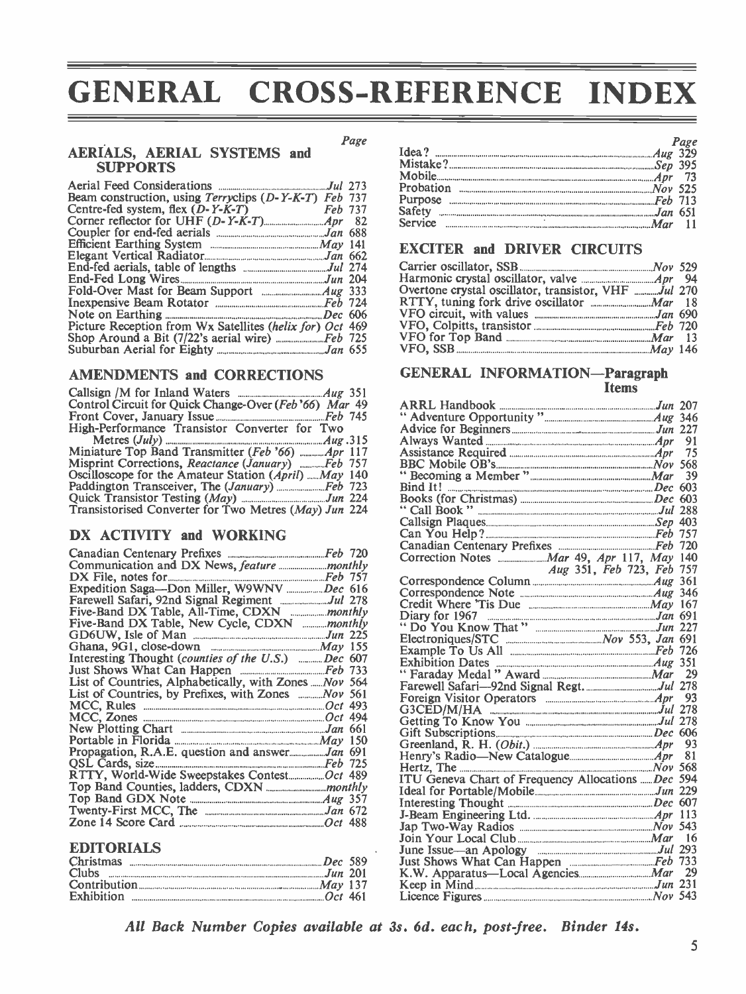# GENERAL CROSS-REFERENCE INDEX

Page

# AERIALS, AERIAL SYSTEMS and **SUPPORTS**

|                                                          | Proba            |
|----------------------------------------------------------|------------------|
| Beam construction, using Terryclips (D-Y-K-T) Feb 737    | Purpo            |
| Centre-fed system, flex $(D-Y-K-T)$ Feb 737              | Safety           |
|                                                          | Servic           |
|                                                          |                  |
|                                                          | <b>EXC</b>       |
|                                                          |                  |
|                                                          | Carrie           |
|                                                          | Harm             |
|                                                          | Overt            |
|                                                          | <b>RTTY</b>      |
|                                                          | VFO              |
| Picture Reception from Wx Satellites (helix for) Oct 469 | VFO.             |
|                                                          | VFO <sub>1</sub> |
|                                                          | VFO,             |
|                                                          |                  |

## AMENDMENTS and CORRECTIONS

| Control Circuit for Quick Change-Over (Feb '66) Mar 49 | <b>ARR</b>        |
|--------------------------------------------------------|-------------------|
|                                                        | " Ad <sub>'</sub> |
| High-Performance Transistor Converter for Two          | Advio             |
|                                                        | A lwa             |
|                                                        | Assist            |
| Misprint Corrections, Reactance (January)  Feb 757     | <b>BBC</b>        |
| Oscilloscope for the Amateur Station (April) May 140   | "Bec              |
|                                                        | <b>Bind</b>       |
|                                                        | <b>Book</b>       |
| Transistorised Converter for Two Metres (May) Jun 224  | $\cdot$ Cal       |

# DX ACTIVITY and WORKING

|                                                           |  | ------<br>Corre |
|-----------------------------------------------------------|--|-----------------|
|                                                           |  |                 |
|                                                           |  | Corre           |
| Expedition Saga-Don Miller, W9WNV Dec 616                 |  | Corre           |
|                                                           |  | Credi           |
|                                                           |  | Diary           |
| Five-Band DX Table, New Cycle, CDXN <i>monthly</i>        |  | $"$ Do          |
|                                                           |  | Electr          |
|                                                           |  | Exam            |
| Interesting Thought (counties of the U.S.) Dec 607        |  | Exhib           |
|                                                           |  | "Fara           |
| List of Countries, Alphabetically, with Zones  Nov 564    |  | Farew           |
| List of Countries, by Prefixes, with Zones  Nov 561       |  | Forei           |
|                                                           |  | G3CE            |
|                                                           |  | Gettin          |
|                                                           |  | Gift S          |
|                                                           |  | Green           |
| Propagation, R.A.E. question and answerJan 691            |  | <b>Henry</b>    |
| QSL Cards, size <u>communications</u> and the Task of T25 |  | Hertz           |
|                                                           |  | ITU (           |
|                                                           |  | Ideal           |
|                                                           |  | Intere          |
|                                                           |  | J-Bear          |
|                                                           |  | Jap T           |

## EDITORIALS

| <b>Christmas</b><br>$Dec 589$ | Just: |
|-------------------------------|-------|
| Clubs $Jun 201$               | K.W   |
|                               | Keep  |
|                               | Licer |

|                                               | Page |
|-----------------------------------------------|------|
|                                               |      |
|                                               |      |
|                                               |      |
|                                               |      |
| Purpose Formation Communication and Table 713 |      |
|                                               |      |
| <u>Service</u> 21                             |      |
|                                               |      |

# EXCITER and DRIVER CIRCUITS

| Overtone crystal oscillator, transistor, VHF Jul 270                                                                                                                                                                                                                                                                                    |  |
|-----------------------------------------------------------------------------------------------------------------------------------------------------------------------------------------------------------------------------------------------------------------------------------------------------------------------------------------|--|
|                                                                                                                                                                                                                                                                                                                                         |  |
|                                                                                                                                                                                                                                                                                                                                         |  |
|                                                                                                                                                                                                                                                                                                                                         |  |
|                                                                                                                                                                                                                                                                                                                                         |  |
| VFO, SSB $\ldots$ $\ldots$ $\ldots$ $\ldots$ $\ldots$ $\ldots$ $\ldots$ $\ldots$ $\ldots$ $\ldots$ $\ldots$ $\ldots$ $\ldots$ $\ldots$ $\ldots$ $\ldots$ $\ldots$ $\ldots$ $\ldots$ $\ldots$ $\ldots$ $\ldots$ $\ldots$ $\ldots$ $\ldots$ $\ldots$ $\ldots$ $\ldots$ $\ldots$ $\ldots$ $\ldots$ $\ldots$ $\ldots$ $\ldots$ $\ldots$ $\$ |  |
|                                                                                                                                                                                                                                                                                                                                         |  |

### GENERAL INFORMATION-Paragraph **Items**

|                                                                                                                                        | 91 |
|----------------------------------------------------------------------------------------------------------------------------------------|----|
|                                                                                                                                        | 75 |
|                                                                                                                                        |    |
|                                                                                                                                        |    |
|                                                                                                                                        |    |
|                                                                                                                                        |    |
|                                                                                                                                        |    |
|                                                                                                                                        |    |
|                                                                                                                                        |    |
|                                                                                                                                        |    |
|                                                                                                                                        |    |
| Aug 351, Feb 723, Feb 757                                                                                                              |    |
|                                                                                                                                        |    |
|                                                                                                                                        |    |
|                                                                                                                                        |    |
| Diary for 1967<br>"Do You Know That" <i>Jun 227</i>                                                                                    |    |
|                                                                                                                                        |    |
|                                                                                                                                        |    |
|                                                                                                                                        |    |
|                                                                                                                                        |    |
|                                                                                                                                        | 29 |
|                                                                                                                                        |    |
|                                                                                                                                        | 93 |
|                                                                                                                                        |    |
|                                                                                                                                        |    |
|                                                                                                                                        |    |
|                                                                                                                                        | 93 |
|                                                                                                                                        |    |
|                                                                                                                                        |    |
| Henry's Radio-New Catalogue <i>Apr</i> 81<br>Hertz, The <i>Nov</i> 568<br>ITU Geneva Chart of Frequency Allocations <i>and Dec</i> 594 |    |
|                                                                                                                                        |    |
|                                                                                                                                        |    |
|                                                                                                                                        |    |
|                                                                                                                                        |    |
|                                                                                                                                        | 16 |
|                                                                                                                                        |    |
|                                                                                                                                        |    |
|                                                                                                                                        | 29 |
|                                                                                                                                        |    |
|                                                                                                                                        |    |

All Back Number Copies available at 3s. 6d. each, post-free. Binder 14s.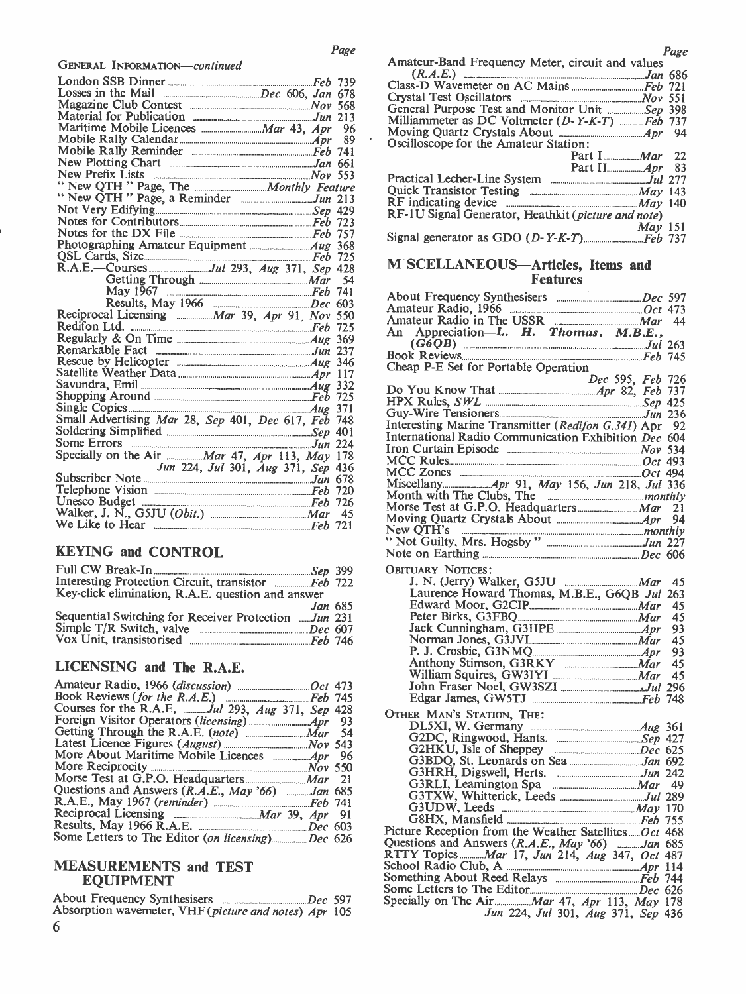GENERAL INFORMATION-continued

|                                                                                                                                                                                                                                     | $(K.A.E.)$ $\ldots$ $\ldots$ $\ldots$ $\ldots$ $\ldots$ $\ldots$ $\ldots$ $\ldots$ $\ldots$ $\ldots$ $\ldots$ $\ldots$ $\ldots$ $\ldots$ $\ldots$ $\ldots$ |    |
|-------------------------------------------------------------------------------------------------------------------------------------------------------------------------------------------------------------------------------------|------------------------------------------------------------------------------------------------------------------------------------------------------------|----|
|                                                                                                                                                                                                                                     |                                                                                                                                                            |    |
|                                                                                                                                                                                                                                     | Crystal Test Oscillators Mov 551                                                                                                                           |    |
|                                                                                                                                                                                                                                     | General Purpose Test and Monitor Unit  Sep 398                                                                                                             |    |
|                                                                                                                                                                                                                                     | Milliammeter as DC Voltmeter (D-Y-K-T) Feb 737                                                                                                             |    |
|                                                                                                                                                                                                                                     | Moving Quartz Crystals About <b>Material Action</b> 4 and Moving Quartz Crystals About                                                                     |    |
|                                                                                                                                                                                                                                     | Oscilloscope for the Amateur Station:                                                                                                                      |    |
|                                                                                                                                                                                                                                     | Part $I$ <sub></sub> <i>Mar</i>                                                                                                                            | 22 |
|                                                                                                                                                                                                                                     |                                                                                                                                                            |    |
|                                                                                                                                                                                                                                     |                                                                                                                                                            |    |
|                                                                                                                                                                                                                                     | Quick Transistor Testing _______________________ May 143                                                                                                   |    |
|                                                                                                                                                                                                                                     | $\hat{R}F$ indicating device $\frac{1}{2}$ $\frac{1}{2}$ $\frac{1}{2}$                                                                                     |    |
|                                                                                                                                                                                                                                     | RF-1U Signal Generator, Heathkit (picture and note)                                                                                                        |    |
|                                                                                                                                                                                                                                     | $Mav$ 151                                                                                                                                                  |    |
| Notes for the DX File <b>Election</b> File <b>File</b> 157                                                                                                                                                                          |                                                                                                                                                            |    |
|                                                                                                                                                                                                                                     |                                                                                                                                                            |    |
| QSL Cards, Size <u>manual communication</u> Feb 725                                                                                                                                                                                 |                                                                                                                                                            |    |
|                                                                                                                                                                                                                                     | M SCELLANEOUS-Articles, Items and                                                                                                                          |    |
|                                                                                                                                                                                                                                     | <b>Features</b>                                                                                                                                            |    |
|                                                                                                                                                                                                                                     |                                                                                                                                                            |    |
|                                                                                                                                                                                                                                     |                                                                                                                                                            |    |
| Reciprocal Licensing <b>Election</b> Mar 39, Apr 91, Nov 550                                                                                                                                                                        |                                                                                                                                                            |    |
|                                                                                                                                                                                                                                     |                                                                                                                                                            |    |
|                                                                                                                                                                                                                                     | An Appreciation-L. H. Thomas, M.B.E.,                                                                                                                      |    |
|                                                                                                                                                                                                                                     | $(G6QB)$ $\ldots$ $Jul$ 263                                                                                                                                |    |
|                                                                                                                                                                                                                                     |                                                                                                                                                            |    |
|                                                                                                                                                                                                                                     | Cheap P-E Set for Portable Operation                                                                                                                       |    |
|                                                                                                                                                                                                                                     | Dec 595, Feb 726                                                                                                                                           |    |
| Shopping Around Feb 725<br>Single Copies                                                                                                                                                                                            |                                                                                                                                                            |    |
|                                                                                                                                                                                                                                     |                                                                                                                                                            |    |
|                                                                                                                                                                                                                                     |                                                                                                                                                            |    |
|                                                                                                                                                                                                                                     | Interesting Marine Transmitter (Redifon G.341) Apr 92                                                                                                      |    |
| Some Errors <b>Election</b> 224                                                                                                                                                                                                     | International Radio Communication Exhibition Dec 604                                                                                                       |    |
|                                                                                                                                                                                                                                     |                                                                                                                                                            |    |
| Jun 224, Jul 301, Aug 371, Sep 436                                                                                                                                                                                                  |                                                                                                                                                            |    |
|                                                                                                                                                                                                                                     | MCC Zones <b>Example 2018</b> 2014 494                                                                                                                     |    |
|                                                                                                                                                                                                                                     |                                                                                                                                                            |    |
| Telephone Vision <b>Election</b> Construction Construction Construction Construction Construction Construction Construction Construction Construction Construction Construction Construction Construction Construction Construction |                                                                                                                                                            |    |
| Unesco Budget <b>Election</b> Superintendent Control of Table 126                                                                                                                                                                   |                                                                                                                                                            |    |
| Walker, J. N., G5JU (Obit.) ____________________ Mar 45                                                                                                                                                                             |                                                                                                                                                            |    |
| We Like to Hear <b>Example 2018</b> Feb 721                                                                                                                                                                                         | $New$ $OTH's$<br>$m \alpha$ is the contract of $m \alpha$ in $m \alpha$ is the contract of $m \alpha$                                                      |    |

# KEYING and CONTROL

|                                                      |                | Овіті |
|------------------------------------------------------|----------------|-------|
|                                                      |                |       |
| Key-click elimination, R.A.E. question and answer    |                |       |
|                                                      | <i>Jan</i> 685 |       |
| Sequential Switching for Receiver Protection Jun 231 |                |       |
|                                                      |                |       |
|                                                      |                |       |
|                                                      |                |       |

# LICENSING and The R.A.E.

|                                                  | Jol            |
|--------------------------------------------------|----------------|
|                                                  | Ed             |
| Courses for the R.A.E. Jul 293, Aug 371, Sep 428 | OTHER          |
|                                                  | DI             |
|                                                  | G2             |
|                                                  | G2             |
|                                                  | G3             |
|                                                  | G3             |
|                                                  | G3             |
| Questions and Answers (R.A.E., May '66) Jan 685  | G <sub>3</sub> |
|                                                  | G <sub>3</sub> |
|                                                  | G8             |
|                                                  |                |
| Some Letters to The Editor (on licensing)Dec 626 | Picture        |
|                                                  | Ouestio        |

## MEASUREMENTS and TEST EQUIPMENT

|                                                                | Spec: |
|----------------------------------------------------------------|-------|
| Absorption wavemeter, VHF ( <i>picture and notes</i> ) Apr 105 |       |
| 6                                                              |       |

|                                                     | Page |
|-----------------------------------------------------|------|
| Amateur-Band Frequency Meter, circuit and values    |      |
|                                                     |      |
|                                                     |      |
|                                                     |      |
| General Purpose Test and Monitor Unit Sep 398       |      |
| Milliammeter as DC Voltmeter (D-Y-K-T) Feb 737      |      |
|                                                     |      |
| Oscilloscope for the Amateur Station:               |      |
|                                                     |      |
|                                                     |      |
|                                                     |      |
|                                                     |      |
|                                                     |      |
| RF-1U Signal Generator, Heathkit (picture and note) |      |
| $Mav$ 151                                           |      |
|                                                     |      |
|                                                     |      |

# **Features**

| Amateur Radio, 1966<br>Amateur Radio in The USSR Mar 44<br>An Appreciation—L. H. Thomas, M.B.E.,                     |    |
|----------------------------------------------------------------------------------------------------------------------|----|
|                                                                                                                      |    |
|                                                                                                                      |    |
|                                                                                                                      |    |
| Cheap P-E Set for Portable Operation                                                                                 |    |
| Dec 595, Feb 726                                                                                                     |    |
|                                                                                                                      |    |
|                                                                                                                      |    |
|                                                                                                                      |    |
| Interesting Marine Transmitter (Redifon G.341) Apr 92                                                                |    |
| International Radio Communication Exhibition Dec 604                                                                 |    |
|                                                                                                                      |    |
| MCC Rules                                                                                                            |    |
|                                                                                                                      |    |
|                                                                                                                      |    |
| Miscellany <i>Apr</i> 91, <i>May</i> 156, <i>Jun</i> 218, <i>Jul</i> 336<br>Month with The Clubs, The <i>monthly</i> |    |
|                                                                                                                      |    |
|                                                                                                                      | 21 |
|                                                                                                                      | 94 |
|                                                                                                                      |    |
|                                                                                                                      |    |
|                                                                                                                      |    |
| <b>OBITUARY NOTICES:</b>                                                                                             |    |
|                                                                                                                      | 45 |
| Laurence Howard Thomas, M.B.E., G6QB Jul 263                                                                         |    |
|                                                                                                                      | 45 |
|                                                                                                                      | 45 |
| Jack Cunningham, G3HPE                                                                                               | 93 |
|                                                                                                                      | 45 |
|                                                                                                                      | 93 |
|                                                                                                                      | 45 |
| Anthony Stimson, G3RKY<br>William Squires, GW3IYI Mar                                                                |    |
|                                                                                                                      | 45 |
|                                                                                                                      |    |
|                                                                                                                      |    |
| OTHER MAN'S STATION, THE:                                                                                            |    |
| DL5XI, W. Germany <b>Election</b> 2008 Manuscript Aug 361                                                            |    |
|                                                                                                                      |    |
| G2HKU, Isle of Sheppey __________________Dec 625<br>G3BDQ, St. Leonards on Sea _____________________Jan 692          |    |
|                                                                                                                      |    |
|                                                                                                                      |    |
|                                                                                                                      |    |
|                                                                                                                      |    |
|                                                                                                                      |    |
|                                                                                                                      |    |
| Picture Reception from the Weather SatellitesOct 468                                                                 |    |
|                                                                                                                      |    |
| Questions and Answers (R.A.E., May '66) June 1085                                                                    |    |
| RTTY Topics Mar 17, Jun 214, Aug 347, Oct 487                                                                        |    |
|                                                                                                                      |    |
|                                                                                                                      |    |
|                                                                                                                      |    |
| Specially on The Air Mar 47, Apr 113, May 178                                                                        |    |
| Jun 224, Jul 301, Aug 371, Sep 436                                                                                   |    |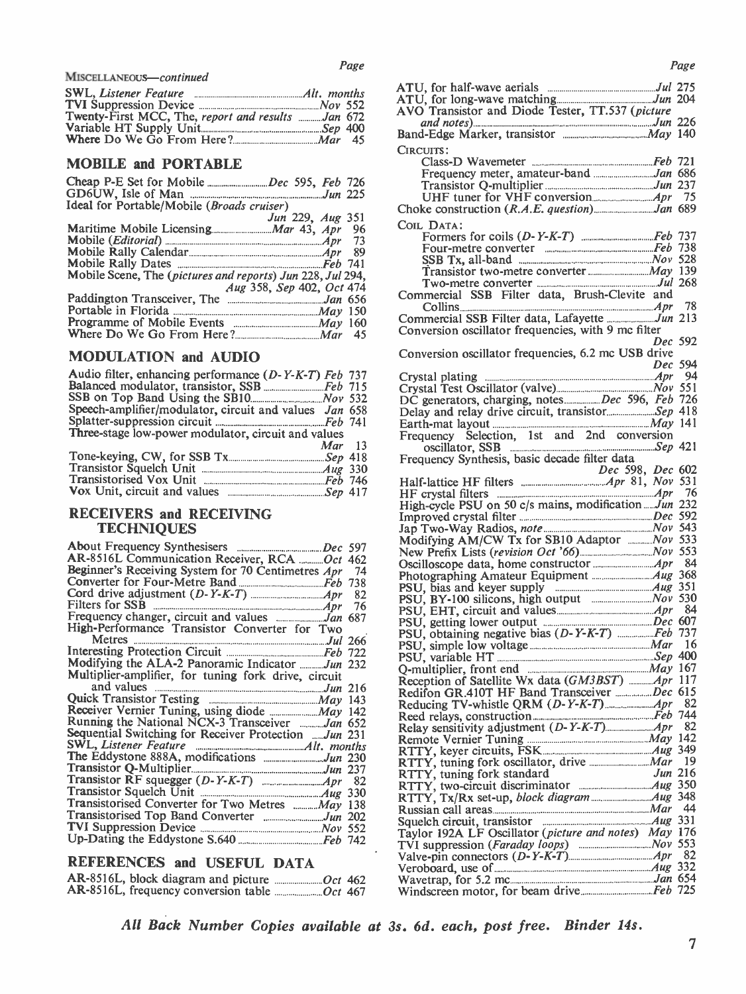| Twenty-First MCC. The report and |  |  |  |
|----------------------------------|--|--|--|
|                                  |  |  |  |
|                                  |  |  |  |
|                                  |  |  |  |

|                                                   | A10,1         |
|---------------------------------------------------|---------------|
|                                                   | ATU, f        |
| Twenty-First MCC, The, report and results Jan 672 | AVO T         |
|                                                   | an            |
|                                                   | Band-E        |
|                                                   | $\sim$ $\sim$ |

## MOBILE and PORTABLE

|                                                            | Tra       |
|------------------------------------------------------------|-----------|
|                                                            | UF        |
| Ideal for Portable/Mobile (Broads cruiser)                 | Choke (   |
| Jun 229, Aug 351                                           | COIL D    |
|                                                            |           |
|                                                            | Fo        |
|                                                            | Fo        |
|                                                            | <b>SS</b> |
| Mobile Scene, The (pictures and reports) Jun 228, Jul 294, | Tr.       |
| Aug 358, Sep 402, Oct 474                                  | Tw        |
|                                                            | Comme     |
|                                                            | Co        |
|                                                            | Comme     |
|                                                            | Conver    |
|                                                            |           |

## MODULATION and AUDIO

| Audio filter, enhancing performance (D-Y-K-T) Feb 737  | Cryst           |
|--------------------------------------------------------|-----------------|
|                                                        | Cryst           |
|                                                        | DC <sub>g</sub> |
| Speech-amplifier/modulator, circuit and values Jan 658 | Delay           |
|                                                        | Earth           |
| Three-stage low-power modulator, circuit and values    | Freq            |
| $Mar$ 13                                               |                 |
|                                                        | Freq            |
|                                                        |                 |
|                                                        | Half-           |
|                                                        | HF c            |
|                                                        |                 |

# RECEIVERS and RECEIVING **TECHNIQUES**

|                                                       | <b>MOTH</b>      |
|-------------------------------------------------------|------------------|
| AR-8516L Communication Receiver, RCA  Oct 462         | New P.           |
| Beginner's Receiving System for 70 Centimetres Apr 74 | Oscillo          |
|                                                       | Photog           |
|                                                       | PSU, b           |
|                                                       | PSU, E           |
|                                                       | PSU, E<br>PSU, g |
| High-Performance Transistor Converter for Two         | PSU, 0           |
|                                                       | PSU, s           |
|                                                       | PSU, v           |
| Modifying the ALA-2 Panoramic Indicator Jun 232       | O-mult           |
| Multiplier-amplifier, for tuning fork drive, circuit  | Recept           |
|                                                       | Redifo:          |
| Quick Transistor Testing <b>Example 2018</b> May 143  | Reduci           |
|                                                       | Reed re          |
| Running the National NCX-3 Transceiver Jan 652        | Relay s          |
| Sequential Switching for Receiver Protection Jun 231  | Remot            |
| SWL, Listener Feature <b>Example 20</b> Alt. months   | RTTY,            |
|                                                       | RTTY.            |
|                                                       | RTTY,            |
|                                                       | RTTY,            |
|                                                       | RTTY.            |
| Transistorised Converter for Two Metres  May 138      | Russia           |
|                                                       | Squelcl          |
|                                                       | Taylor           |
|                                                       | TVI su           |
|                                                       |                  |

# REFERENCES and USEFUL DATA

|  |  | Wav  |
|--|--|------|
|  |  | Wind |

| Page |
|------|
|------|

| Page                                                            | Page                                                                                                                                                                                |
|-----------------------------------------------------------------|-------------------------------------------------------------------------------------------------------------------------------------------------------------------------------------|
| MISCELLANEOUS—continued                                         |                                                                                                                                                                                     |
|                                                                 |                                                                                                                                                                                     |
|                                                                 | AVO Transistor and Diode Tester, TT.537 (picture                                                                                                                                    |
| Twenty-First MCC, The, report and results Jan 672               |                                                                                                                                                                                     |
|                                                                 |                                                                                                                                                                                     |
|                                                                 | CIRCUITS:                                                                                                                                                                           |
| <b>MOBILE and PORTABLE</b>                                      |                                                                                                                                                                                     |
|                                                                 |                                                                                                                                                                                     |
|                                                                 |                                                                                                                                                                                     |
|                                                                 |                                                                                                                                                                                     |
| Ideal for Portable/Mobile (Broads cruiser)                      |                                                                                                                                                                                     |
| Jun 229, Aug 351                                                | COIL DATA:                                                                                                                                                                          |
|                                                                 |                                                                                                                                                                                     |
| - 73                                                            | Four-metre converter <i>manufacture Feb 738</i>                                                                                                                                     |
|                                                                 | SSB Tx, all-band $\ldots$ $Nov$ 528                                                                                                                                                 |
|                                                                 |                                                                                                                                                                                     |
| Mobile Scene, The (pictures and reports) Jun 228, Jul 294,      |                                                                                                                                                                                     |
| Aug 358, Sep 402, Oct 474                                       | Commercial SSB Filter data, Brush-Clevite and                                                                                                                                       |
|                                                                 | Collins $Apr$ 78                                                                                                                                                                    |
|                                                                 |                                                                                                                                                                                     |
|                                                                 | Conversion oscillator frequencies, with 9 mc filter                                                                                                                                 |
|                                                                 | Dec 592                                                                                                                                                                             |
| <b>MODULATION and AUDIO</b>                                     | Conversion oscillator frequencies, 6.2 mc USB drive                                                                                                                                 |
|                                                                 | Dec 594                                                                                                                                                                             |
| Audio filter, enhancing performance (D-Y-K-T) Feb 737           |                                                                                                                                                                                     |
|                                                                 |                                                                                                                                                                                     |
| Speech-amplifier/modulator, circuit and values Jan 658          |                                                                                                                                                                                     |
|                                                                 | Delay and relay drive circuit, transistor Sep 418                                                                                                                                   |
| Three-stage low-power modulator, circuit and values             |                                                                                                                                                                                     |
| Mar<br>-13                                                      | Frequency Selection, 1st and 2nd conversion                                                                                                                                         |
|                                                                 | Frequency Synthesis, basic decade filter data                                                                                                                                       |
|                                                                 | <i>Dec</i> 598, <i>Dec</i> 602                                                                                                                                                      |
|                                                                 |                                                                                                                                                                                     |
|                                                                 |                                                                                                                                                                                     |
|                                                                 | High-cycle PSU on 50 c/s mains, modificationJun 232                                                                                                                                 |
| <b>RECEIVERS and RECEIVING</b>                                  |                                                                                                                                                                                     |
| <b>TECHNIQUES</b>                                               |                                                                                                                                                                                     |
|                                                                 | Modifying AM/CW Tx for SB10 Adaptor <i>Nov</i> 533                                                                                                                                  |
|                                                                 |                                                                                                                                                                                     |
| AR-8516L Communication Receiver, RCA  Oct 462                   |                                                                                                                                                                                     |
| <b>Beginner's Receiving System for 70 Centimetres Apr</b><br>74 |                                                                                                                                                                                     |
|                                                                 |                                                                                                                                                                                     |
|                                                                 | PSU, BY-100 silicons, high output <i>manumana Nov</i> 530                                                                                                                           |
|                                                                 |                                                                                                                                                                                     |
| High-Performance Transistor Converter for Two                   |                                                                                                                                                                                     |
|                                                                 |                                                                                                                                                                                     |
|                                                                 |                                                                                                                                                                                     |
| Modifying the ALA-2 Panoramic Indicator Jun 232                 |                                                                                                                                                                                     |
| Multiplier-amplifier, for tuning fork drive, circuit            |                                                                                                                                                                                     |
| and values <b>manufacturers</b> Jun 216                         |                                                                                                                                                                                     |
|                                                                 | Redifon GR.410T HF Band Transceiver Dec 615                                                                                                                                         |
|                                                                 |                                                                                                                                                                                     |
| Running the National NCX-3 Transceiver Jan 652                  | Relay sensitivity adjustment (D-Y-K-T) Apr 82                                                                                                                                       |
| Sequential Switching for Receiver Protection Jun 231            |                                                                                                                                                                                     |
|                                                                 |                                                                                                                                                                                     |
|                                                                 |                                                                                                                                                                                     |
|                                                                 | RTTY, tuning fork standard<br>Jun 216                                                                                                                                               |
|                                                                 |                                                                                                                                                                                     |
|                                                                 |                                                                                                                                                                                     |
| Transistorised Converter for Two Metres  May 138                |                                                                                                                                                                                     |
|                                                                 | Squelch circuit, transistor $\frac{1}{2}$ $\frac{1}{2}$ $\frac{1}{2}$ $\frac{1}{2}$ $\frac{1}{2}$ $\frac{1}{2}$ $\frac{1}{2}$                                                       |
|                                                                 | Taylor 192A LF Oscillator (picture and notes) May 176                                                                                                                               |
|                                                                 |                                                                                                                                                                                     |
| REFERENCES and USEFUL DATA                                      | Valve-pin connectors (D-Y-K-T) Apr 82                                                                                                                                               |
|                                                                 | Veroboard, use of $\ldots$ $\ldots$ $\ldots$ $\ldots$ $\ldots$ $\ldots$ $\ldots$ $\ldots$ $\ldots$ $\ldots$ $\ldots$ $\ldots$ $\ldots$ $\ldots$ $\ldots$ $\ldots$ $\ldots$ $\ldots$ |
|                                                                 |                                                                                                                                                                                     |
| AR-8516L, frequency conversion table <i>manufacture</i> Oct 467 |                                                                                                                                                                                     |

All Back Number Copies available at 3s. 6d. each, post free. Binder 14s.